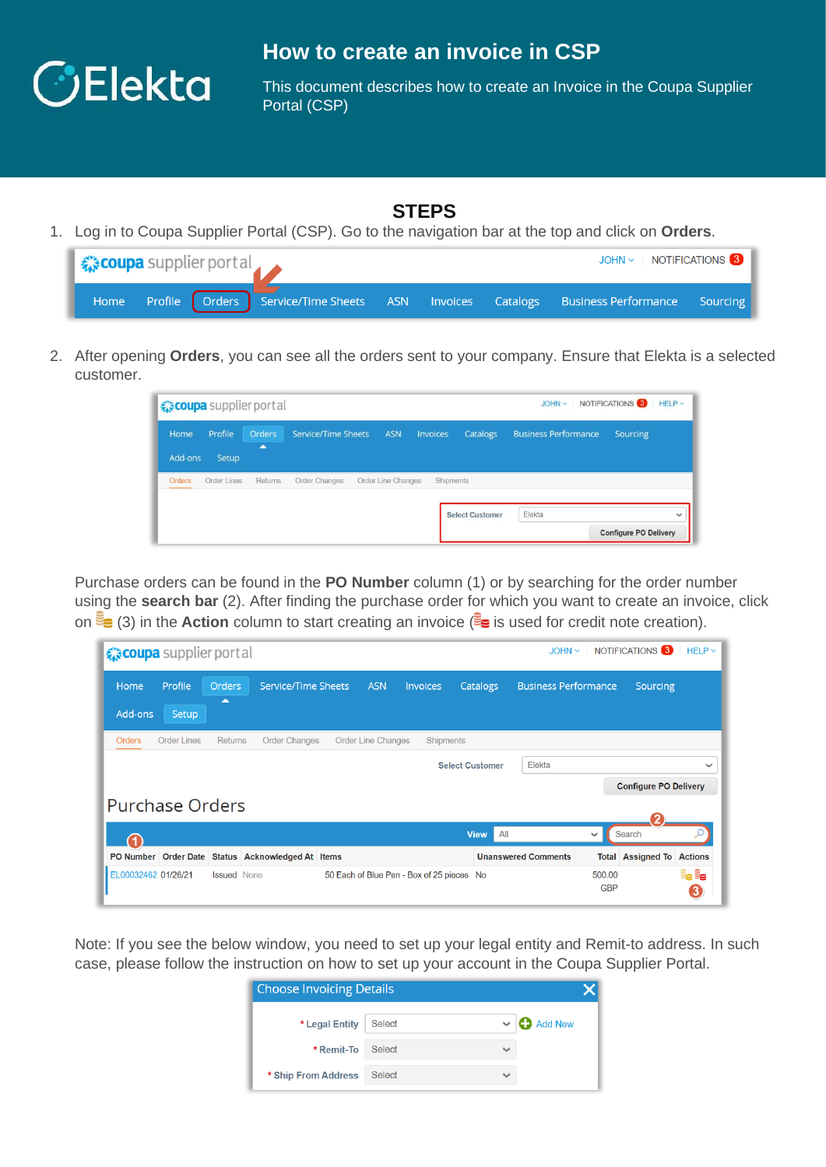

## **How to create an invoice in CSP**

This document describes how to create an Invoice in the Coupa Supplier Portal (CSP)

## **STEPS**

1. Log in to Coupa Supplier Portal (CSP). Go to the navigation bar at the top and click on **Orders**.

| <b>《 Coupa</b> supplier portal |  |  |  | JOHN v   NOTIFICATIONS 3                                                                    |  |
|--------------------------------|--|--|--|---------------------------------------------------------------------------------------------|--|
|                                |  |  |  | Home Profile Orders Service/Time Sheets ASN Invoices Catalogs Business-Performance Sourcing |  |

2. After opening **Orders**, you can see all the orders sent to your company. Ensure that Elekta is a selected customer.

|                 |                  | <i><b>Excoupa</b></i> supplier portal |                     |                    |                 |                        | JOHN ~                      | NOTIFICATIONS <sup>3</sup>   | $HELP \vee$  |
|-----------------|------------------|---------------------------------------|---------------------|--------------------|-----------------|------------------------|-----------------------------|------------------------------|--------------|
| Home<br>Add-ons | Profile<br>Setup | <b>Orders</b><br>◚                    | Service/Time Sheets | <b>ASN</b>         | <b>Invoices</b> | Catalogs               | <b>Business Performance</b> | Sourcing                     |              |
| <b>Orders</b>   | Order Lines      | Returns                               | Order Changes       | Order Line Changes | Shipments       |                        |                             |                              |              |
|                 |                  |                                       |                     |                    |                 | <b>Select Customer</b> | Elekta                      |                              | $\checkmark$ |
|                 |                  |                                       |                     |                    |                 |                        |                             | <b>Configure PO Delivery</b> |              |

Purchase orders can be found in the **PO Number** column (1) or by searching for the order number using the **search bar** (2). After finding the purchase order for which you want to create an invoice, click on  $\mathbb{F}_{\mathbf{S}}(3)$  in the **Action** column to start creating an invoice ( $\mathbb{F}_{\mathbf{S}}$  is used for credit note creation).

| ☆ coupa supplier portal |                    |                    |                                                   |                           |                                           |                        |     | $JOHN \sim$                 |                      | NOTIFICATIONS <sup>3</sup>   | $HELP \sim$  |
|-------------------------|--------------------|--------------------|---------------------------------------------------|---------------------------|-------------------------------------------|------------------------|-----|-----------------------------|----------------------|------------------------------|--------------|
| Home                    | Profile            | <b>Orders</b><br>▴ | <b>Service/Time Sheets</b>                        | <b>ASN</b>                | <b>Invoices</b>                           | Catalogs               |     | <b>Business Performance</b> |                      | <b>Sourcing</b>              |              |
| Add-ons                 | Setup              |                    |                                                   |                           |                                           |                        |     |                             |                      |                              |              |
| <b>Orders</b>           | <b>Order Lines</b> | <b>Returns</b>     | <b>Order Changes</b>                              | <b>Order Line Changes</b> | <b>Shipments</b>                          |                        |     |                             |                      |                              |              |
|                         |                    |                    |                                                   |                           |                                           | <b>Select Customer</b> |     | Elekta                      |                      |                              | $\checkmark$ |
|                         |                    |                    |                                                   |                           |                                           |                        |     |                             |                      | <b>Configure PO Delivery</b> |              |
| <b>Purchase Orders</b>  |                    |                    |                                                   |                           |                                           |                        |     |                             |                      |                              |              |
|                         |                    |                    |                                                   |                           |                                           | <b>View</b>            | All |                             | $\checkmark$         | Search                       |              |
|                         |                    |                    | PO Number Order Date Status Acknowledged At Items |                           |                                           |                        |     | <b>Unanswered Comments</b>  | <b>Total</b>         | <b>Assigned To Actions</b>   |              |
| EL00032462 01/26/21     |                    | <b>Issued</b> None |                                                   |                           | 50 Each of Blue Pen - Box of 25 pieces No |                        |     |                             | 500.00<br><b>GBP</b> |                              | e, e,<br>3   |

Note: If you see the below window, you need to set up your legal entity and Remit-to address. In such case, please follow the instruction on how to set up your account in the Coupa Supplier Portal.

| <b>Choose Invoicing Details</b> |               |              |                |  |  |
|---------------------------------|---------------|--------------|----------------|--|--|
| * Legal Entity                  | <b>Select</b> |              | <b>Add New</b> |  |  |
| * Remit-To                      | Select        | $\checkmark$ |                |  |  |
| * Ship From Address             | <b>Select</b> | $\checkmark$ |                |  |  |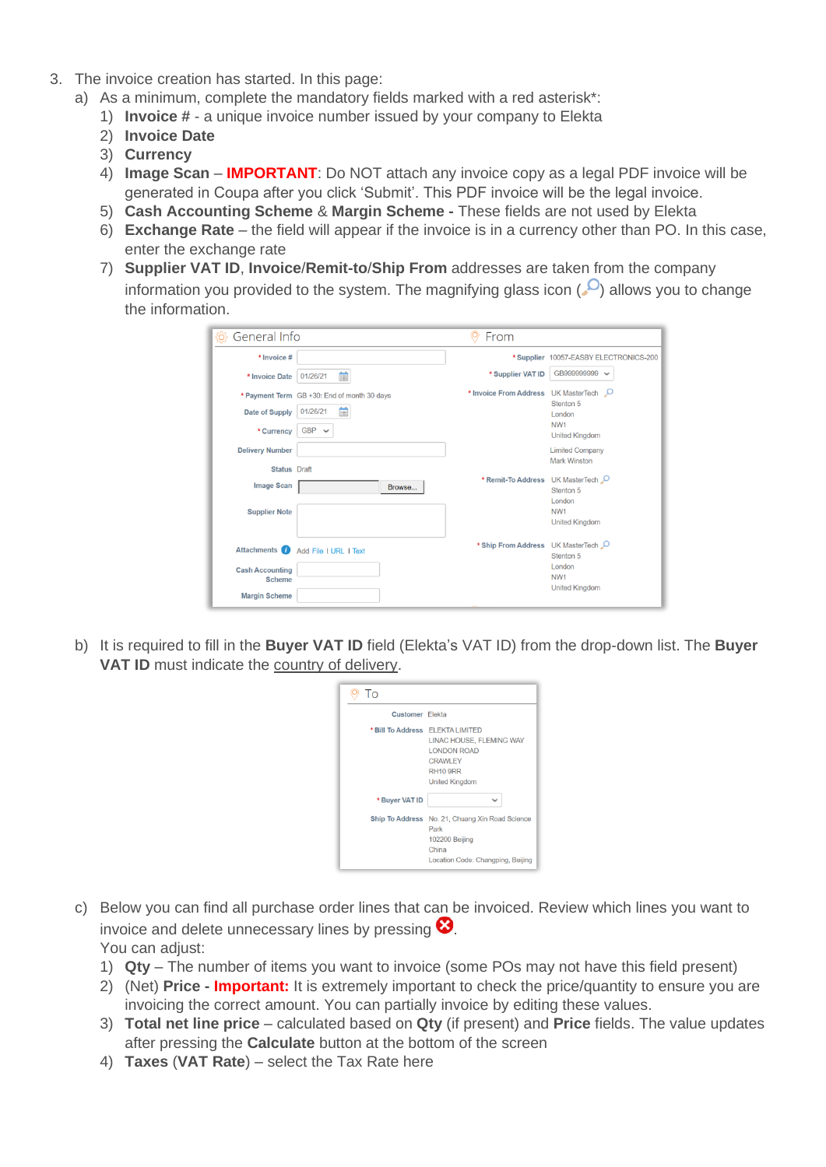- 3. The invoice creation has started. In this page:
	- a) As a minimum, complete the mandatory fields marked with a red asterisk\*:
		- 1) **Invoice #** a unique invoice number issued by your company to Elekta
		- 2) **Invoice Date**
		- 3) **Currency**
		- 4) **Image Scan IMPORTANT**: Do NOT attach any invoice copy as a legal PDF invoice will be generated in Coupa after you click 'Submit'. This PDF invoice will be the legal invoice.
		- 5) **Cash Accounting Scheme** & **Margin Scheme -** These fields are not used by Elekta
		- 6) **Exchange Rate** the field will appear if the invoice is in a currency other than PO. In this case, enter the exchange rate
		- 7) **Supplier VAT ID**, **Invoice**/**Remit-to**/**Ship From** addresses are taken from the company information you provided to the system. The magnifying glass icon  $(0)$  allows you to change the information.

| General Info<br>ξõ                            |                                                                            | From                              |                                                                                    |
|-----------------------------------------------|----------------------------------------------------------------------------|-----------------------------------|------------------------------------------------------------------------------------|
| * Invoice #                                   |                                                                            |                                   | *Supplier 10057-EASBY ELECTRONICS-200                                              |
| * Invoice Date                                | 論<br>01/26/21                                                              | * Supplier VAT ID                 | GB999999999 V                                                                      |
| Date of Supply<br>* Currency                  | * Payment Term GB +30: End of month 30 days<br>盖<br>01/26/21<br>$GBP \sim$ | * Invoice From Address            | UK MasterTech Q<br>Stenton 5<br>London<br>NW <sub>1</sub><br><b>United Kingdom</b> |
| <b>Delivery Number</b><br><b>Status</b> Draft |                                                                            |                                   | <b>Limited Company</b><br><b>Mark Winston</b>                                      |
| <b>Image Scan</b>                             | Browse                                                                     | * Remit-To Address UK MasterTech  | Stenton 5<br>London                                                                |
| <b>Supplier Note</b>                          |                                                                            |                                   | NW <sub>1</sub><br><b>United Kingdom</b>                                           |
| <b>Attachments</b>                            | Add File I URL I Text                                                      | * Ship From Address UK MasterTech | Stenton <sub>5</sub>                                                               |
| <b>Cash Accounting</b><br><b>Scheme</b>       |                                                                            |                                   | London<br>NW <sub>1</sub><br><b>United Kingdom</b>                                 |
| <b>Margin Scheme</b>                          |                                                                            |                                   |                                                                                    |

b) It is required to fill in the **Buyer VAT ID** field (Elekta's VAT ID) from the drop-down list. The **Buyer VAT ID** must indicate the country of delivery.

| To                     |                                                                                                                                                  |
|------------------------|--------------------------------------------------------------------------------------------------------------------------------------------------|
| <b>Customer</b> Elekta |                                                                                                                                                  |
|                        | * Bill To Address ELEKTA LIMITED<br>LINAC HOUSE. FLEMING WAY<br><b>LONDON ROAD</b><br><b>CRAWLEY</b><br><b>RH10 9RR</b><br><b>United Kingdom</b> |
| * Buyer VAT ID         |                                                                                                                                                  |
|                        | Ship To Address No. 21, Chuang Xin Road Science<br>Park<br>102200 Beijing<br>China<br>Location Code: Changping, Beijing                          |

- c) Below you can find all purchase order lines that can be invoiced. Review which lines you want to invoice and delete unnecessary lines by pressing  $\bullet$ . You can adiust:
	- 1) **Qty** The number of items you want to invoice (some POs may not have this field present)
	- 2) (Net) **Price - Important:** It is extremely important to check the price/quantity to ensure you are invoicing the correct amount. You can partially invoice by editing these values.
	- 3) **Total net line price** calculated based on **Qty** (if present) and **Price** fields. The value updates after pressing the **Calculate** button at the bottom of the screen
	- 4) **Taxes** (**VAT Rate**) select the Tax Rate here